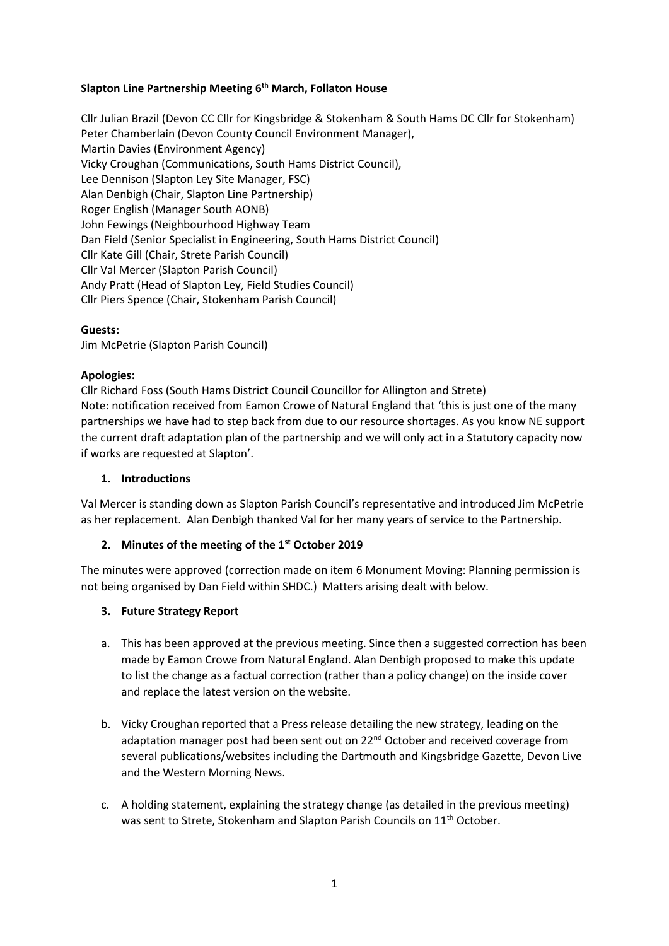#### **Slapton Line Partnership Meeting 6th March, Follaton House**

Cllr Julian Brazil (Devon CC Cllr for Kingsbridge & Stokenham & South Hams DC Cllr for Stokenham) Peter Chamberlain (Devon County Council Environment Manager), Martin Davies (Environment Agency) Vicky Croughan (Communications, South Hams District Council), Lee Dennison (Slapton Ley Site Manager, FSC) Alan Denbigh (Chair, Slapton Line Partnership) Roger English (Manager South AONB) John Fewings (Neighbourhood Highway Team Dan Field (Senior Specialist in Engineering, South Hams District Council) Cllr Kate Gill (Chair, Strete Parish Council) Cllr Val Mercer (Slapton Parish Council) Andy Pratt (Head of Slapton Ley, Field Studies Council) Cllr Piers Spence (Chair, Stokenham Parish Council)

#### **Guests:**

Jim McPetrie (Slapton Parish Council)

#### **Apologies:**

Cllr Richard Foss (South Hams District Council Councillor for Allington and Strete) Note: notification received from Eamon Crowe of Natural England that 'this is just one of the many partnerships we have had to step back from due to our resource shortages. As you know NE support the current draft adaptation plan of the partnership and we will only act in a Statutory capacity now if works are requested at Slapton'.

#### **1. Introductions**

Val Mercer is standing down as Slapton Parish Council's representative and introduced Jim McPetrie as her replacement. Alan Denbigh thanked Val for her many years of service to the Partnership.

## **2. Minutes of the meeting of the 1st October 2019**

The minutes were approved (correction made on item 6 Monument Moving: Planning permission is not being organised by Dan Field within SHDC.) Matters arising dealt with below.

## **3. Future Strategy Report**

- a. This has been approved at the previous meeting. Since then a suggested correction has been made by Eamon Crowe from Natural England. Alan Denbigh proposed to make this update to list the change as a factual correction (rather than a policy change) on the inside cover and replace the latest version on the website.
- b. Vicky Croughan reported that a Press release detailing the new strategy, leading on the adaptation manager post had been sent out on 22<sup>nd</sup> October and received coverage from several publications/websites including the Dartmouth and Kingsbridge Gazette, Devon Live and the Western Morning News.
- c. A holding statement, explaining the strategy change (as detailed in the previous meeting) was sent to Strete, Stokenham and Slapton Parish Councils on 11<sup>th</sup> October.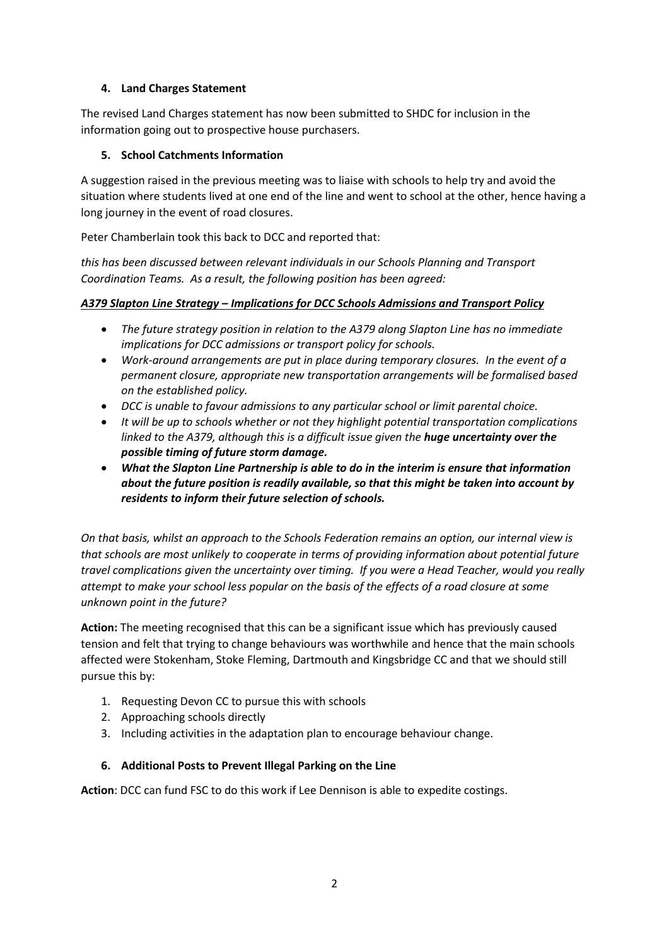# **4. Land Charges Statement**

The revised Land Charges statement has now been submitted to SHDC for inclusion in the information going out to prospective house purchasers.

# **5. School Catchments Information**

A suggestion raised in the previous meeting was to liaise with schools to help try and avoid the situation where students lived at one end of the line and went to school at the other, hence having a long journey in the event of road closures.

Peter Chamberlain took this back to DCC and reported that:

*this has been discussed between relevant individuals in our Schools Planning and Transport Coordination Teams. As a result, the following position has been agreed:*

## *A379 Slapton Line Strategy – Implications for DCC Schools Admissions and Transport Policy*

- *The future strategy position in relation to the A379 along Slapton Line has no immediate implications for DCC admissions or transport policy for schools.*
- *Work-around arrangements are put in place during temporary closures. In the event of a permanent closure, appropriate new transportation arrangements will be formalised based on the established policy.*
- *DCC is unable to favour admissions to any particular school or limit parental choice.*
- *It will be up to schools whether or not they highlight potential transportation complications linked to the A379, although this is a difficult issue given the huge uncertainty over the possible timing of future storm damage.*
- *What the Slapton Line Partnership is able to do in the interim is ensure that information about the future position is readily available, so that this might be taken into account by residents to inform their future selection of schools.*

*On that basis, whilst an approach to the Schools Federation remains an option, our internal view is that schools are most unlikely to cooperate in terms of providing information about potential future travel complications given the uncertainty over timing. If you were a Head Teacher, would you really attempt to make your school less popular on the basis of the effects of a road closure at some unknown point in the future?*

**Action:** The meeting recognised that this can be a significant issue which has previously caused tension and felt that trying to change behaviours was worthwhile and hence that the main schools affected were Stokenham, Stoke Fleming, Dartmouth and Kingsbridge CC and that we should still pursue this by:

- 1. Requesting Devon CC to pursue this with schools
- 2. Approaching schools directly
- 3. Including activities in the adaptation plan to encourage behaviour change.

## **6. Additional Posts to Prevent Illegal Parking on the Line**

**Action**: DCC can fund FSC to do this work if Lee Dennison is able to expedite costings.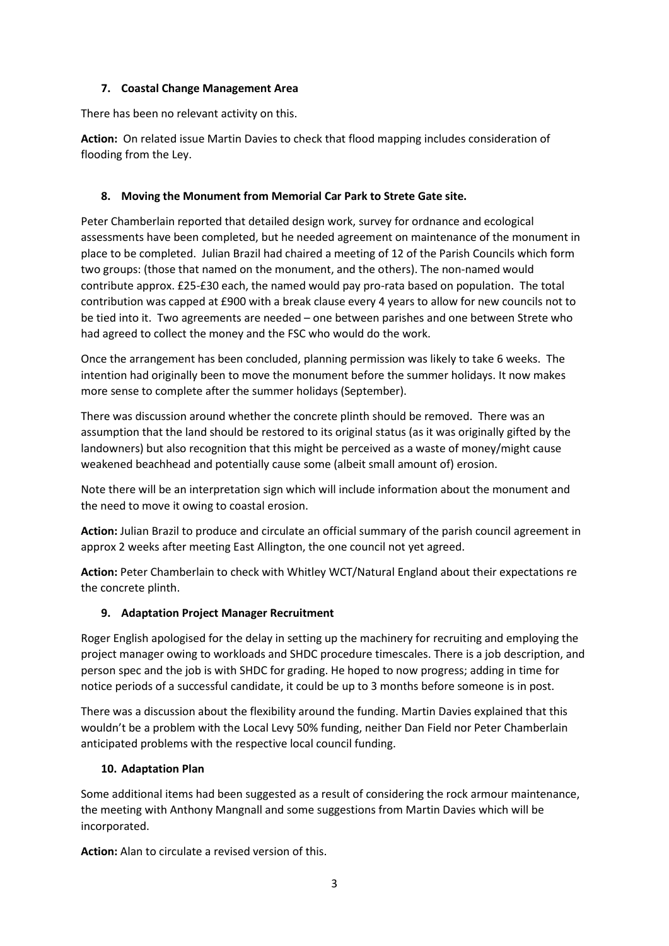#### **7. Coastal Change Management Area**

There has been no relevant activity on this.

**Action:** On related issue Martin Davies to check that flood mapping includes consideration of flooding from the Ley.

# **8. Moving the Monument from Memorial Car Park to Strete Gate site.**

Peter Chamberlain reported that detailed design work, survey for ordnance and ecological assessments have been completed, but he needed agreement on maintenance of the monument in place to be completed. Julian Brazil had chaired a meeting of 12 of the Parish Councils which form two groups: (those that named on the monument, and the others). The non-named would contribute approx. £25-£30 each, the named would pay pro-rata based on population. The total contribution was capped at £900 with a break clause every 4 years to allow for new councils not to be tied into it. Two agreements are needed – one between parishes and one between Strete who had agreed to collect the money and the FSC who would do the work.

Once the arrangement has been concluded, planning permission was likely to take 6 weeks. The intention had originally been to move the monument before the summer holidays. It now makes more sense to complete after the summer holidays (September).

There was discussion around whether the concrete plinth should be removed. There was an assumption that the land should be restored to its original status (as it was originally gifted by the landowners) but also recognition that this might be perceived as a waste of money/might cause weakened beachhead and potentially cause some (albeit small amount of) erosion.

Note there will be an interpretation sign which will include information about the monument and the need to move it owing to coastal erosion.

**Action:** Julian Brazil to produce and circulate an official summary of the parish council agreement in approx 2 weeks after meeting East Allington, the one council not yet agreed.

**Action:** Peter Chamberlain to check with Whitley WCT/Natural England about their expectations re the concrete plinth.

## **9. Adaptation Project Manager Recruitment**

Roger English apologised for the delay in setting up the machinery for recruiting and employing the project manager owing to workloads and SHDC procedure timescales. There is a job description, and person spec and the job is with SHDC for grading. He hoped to now progress; adding in time for notice periods of a successful candidate, it could be up to 3 months before someone is in post.

There was a discussion about the flexibility around the funding. Martin Davies explained that this wouldn't be a problem with the Local Levy 50% funding, neither Dan Field nor Peter Chamberlain anticipated problems with the respective local council funding.

## **10. Adaptation Plan**

Some additional items had been suggested as a result of considering the rock armour maintenance, the meeting with Anthony Mangnall and some suggestions from Martin Davies which will be incorporated.

**Action:** Alan to circulate a revised version of this.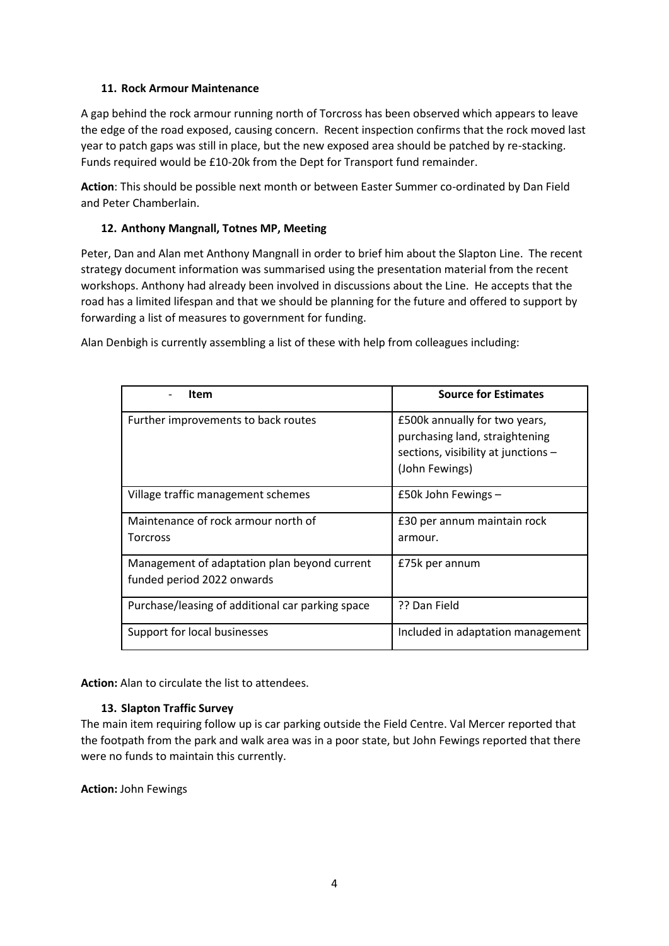#### **11. Rock Armour Maintenance**

A gap behind the rock armour running north of Torcross has been observed which appears to leave the edge of the road exposed, causing concern. Recent inspection confirms that the rock moved last year to patch gaps was still in place, but the new exposed area should be patched by re-stacking. Funds required would be £10-20k from the Dept for Transport fund remainder.

**Action**: This should be possible next month or between Easter Summer co-ordinated by Dan Field and Peter Chamberlain.

#### **12. Anthony Mangnall, Totnes MP, Meeting**

Peter, Dan and Alan met Anthony Mangnall in order to brief him about the Slapton Line. The recent strategy document information was summarised using the presentation material from the recent workshops. Anthony had already been involved in discussions about the Line. He accepts that the road has a limited lifespan and that we should be planning for the future and offered to support by forwarding a list of measures to government for funding.

Alan Denbigh is currently assembling a list of these with help from colleagues including:

| <b>Item</b>                                                                | <b>Source for Estimates</b>                                                                                              |
|----------------------------------------------------------------------------|--------------------------------------------------------------------------------------------------------------------------|
| Further improvements to back routes                                        | £500k annually for two years,<br>purchasing land, straightening<br>sections, visibility at junctions -<br>(John Fewings) |
| Village traffic management schemes                                         | £50k John Fewings -                                                                                                      |
| Maintenance of rock armour north of<br><b>Torcross</b>                     | £30 per annum maintain rock<br>armour.                                                                                   |
| Management of adaptation plan beyond current<br>funded period 2022 onwards | £75k per annum                                                                                                           |
| Purchase/leasing of additional car parking space                           | ?? Dan Field                                                                                                             |
| Support for local businesses                                               | Included in adaptation management                                                                                        |

**Action:** Alan to circulate the list to attendees.

## **13. Slapton Traffic Survey**

The main item requiring follow up is car parking outside the Field Centre. Val Mercer reported that the footpath from the park and walk area was in a poor state, but John Fewings reported that there were no funds to maintain this currently.

**Action:** John Fewings